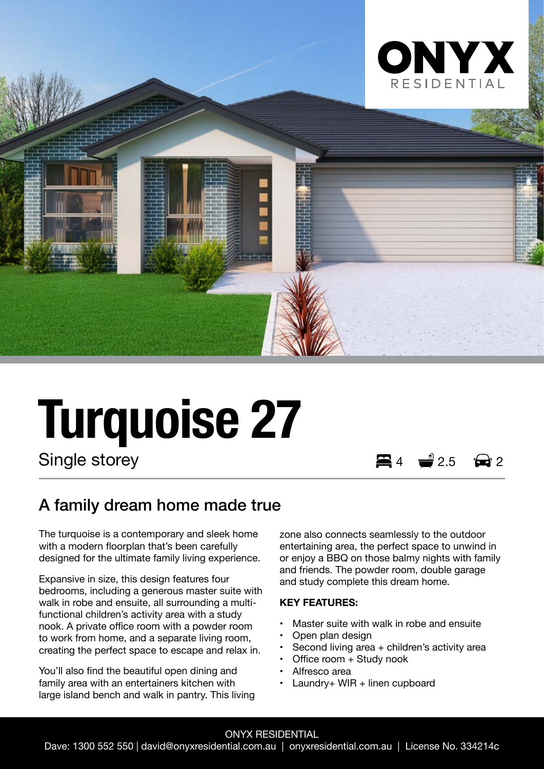

# **Turquoise 27**

Single storey  $\qquad \qquad \qquad \blacksquare$  4  $\qquad \blacksquare$  2.5

## A family dream home made true

The turquoise is a contemporary and sleek home with a modern floorplan that's been carefully designed for the ultimate family living experience.

Expansive in size, this design features four bedrooms, including a generous master suite with walk in robe and ensuite, all surrounding a multifunctional children's activity area with a study nook. A private office room with a powder room to work from home, and a separate living room, creating the perfect space to escape and relax in.

You'll also find the beautiful open dining and family area with an entertainers kitchen with large island bench and walk in pantry. This living zone also connects seamlessly to the outdoor entertaining area, the perfect space to unwind in or enjoy a BBQ on those balmy nights with family and friends. The powder room, double garage and study complete this dream home.

#### **KEY FEATURES:**

- Master suite with walk in robe and ensuite
- Open plan design
- Second living area  $+$  children's activity area
- Office room + Study nook
- Alfresco area
- Laundry+ WIR + linen cupboard

### ONYX RESIDENTIAL